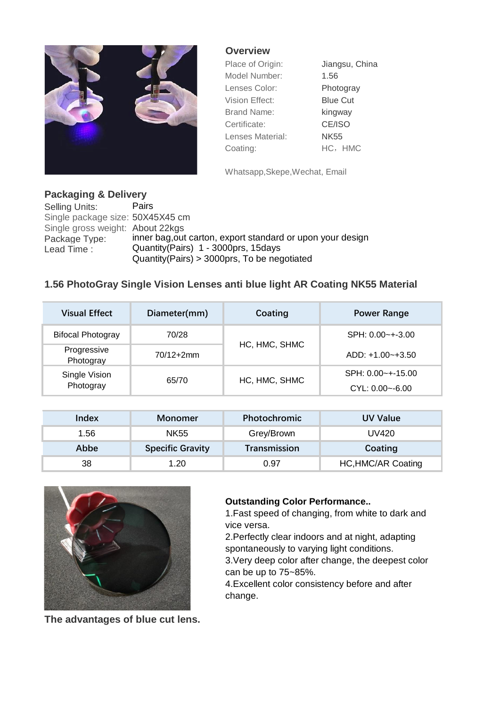

## **Overview**

| Place of Origin:   | Jiangsu, China  |  |
|--------------------|-----------------|--|
| Model Number:      | 1.56            |  |
| Lenses Color:      | Photogray       |  |
| Vision Effect:     | <b>Blue Cut</b> |  |
| <b>Brand Name:</b> | kingway         |  |
| Certificate:       | CE/ISO          |  |
| Lenses Material:   | <b>NK55</b>     |  |
| Coating:           | HC, HMC         |  |

Whatsapp,Skepe,Wechat, Email

## **Packaging & Delivery**

Selling Units: Pairs Single package size: 50X45X45 cm Single gross weight: About 22kgs Package Type: inner bag, out carton, export standard or upon your design Lead Time : Quantity (Pairs) 1 - 3000prs, 15days Quantity(Pairs) > 3000prs, To be negotiated

## **1.56 PhotoGray Single Vision Lenses anti blue light AR Coating NK55 Material**

| <b>Visual Effect</b>                | Diameter(mm)  | Coating       | <b>Power Range</b>  |
|-------------------------------------|---------------|---------------|---------------------|
| <b>Bifocal Photogray</b>            | 70/28         | HC, HMC, SHMC | $SPH: 0.00$ ~+-3.00 |
| Progressive<br>Photogray            | $70/12 + 2mm$ |               | $ADD: +1.00-+3.50$  |
| Single Vision<br>65/70<br>Photogray |               | HC, HMC, SHMC | SPH: 0.00~+-15.00   |
|                                     |               |               | $CYL: 0.00 - 6.00$  |

| Index | Monomer                 | <b>Photochromic</b> | <b>UV Value</b>           |
|-------|-------------------------|---------------------|---------------------------|
| 1.56  | <b>NK55</b>             | Grey/Brown          | UV420                     |
| Abbe  | <b>Specific Gravity</b> | Transmission        | Coating                   |
| 38    | 1.20                    | 0.97                | <b>HC, HMC/AR Coating</b> |



## **Outstanding Color Performance..**

1.Fast speed of changing, from white to dark and vice versa.

2.Perfectly clear indoors and at night, adapting spontaneously to varying light conditions.

3.Very deep color after change, the deepest color can be up to 75~85%.

4.Excellent color consistency before and after change.

**The advantages of blue cut lens.**